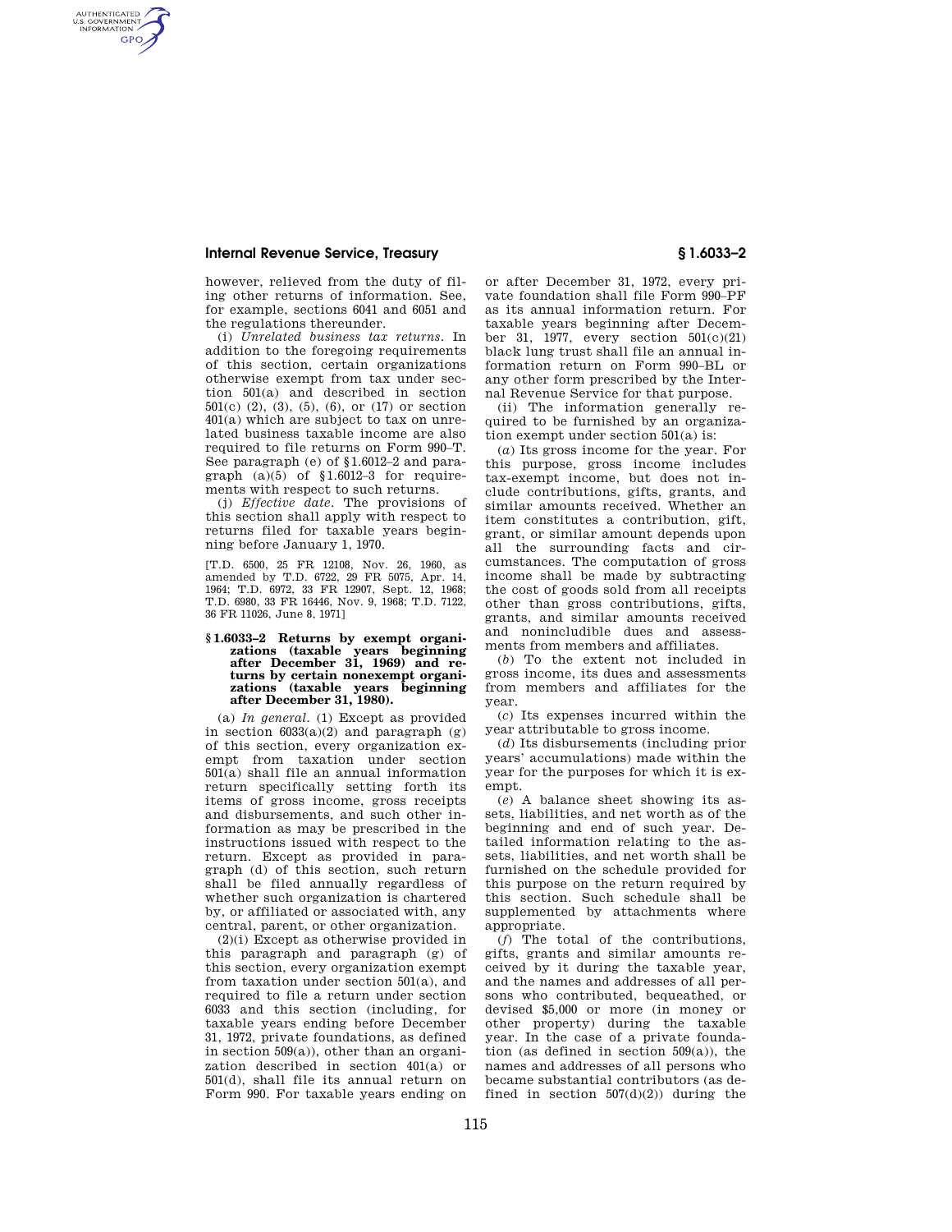AUTHENTICATED<br>U.S. GOVERNMENT<br>INFORMATION **GPO** 

> however, relieved from the duty of filing other returns of information. See, for example, sections 6041 and 6051 and the regulations thereunder.

> (i) *Unrelated business tax returns.* In addition to the foregoing requirements of this section, certain organizations otherwise exempt from tax under section 501(a) and described in section 501(c) (2), (3), (5), (6), or (17) or section 401(a) which are subject to tax on unrelated business taxable income are also required to file returns on Form 990–T. See paragraph (e) of §1.6012–2 and paragraph  $(a)(5)$  of  $$1.6012-3$  for requirements with respect to such returns.

> (j) *Effective date.* The provisions of this section shall apply with respect to returns filed for taxable years beginning before January 1, 1970.

> [T.D. 6500, 25 FR 12108, Nov. 26, 1960, as amended by T.D. 6722, 29 FR 5075, Apr. 14, 1964; T.D. 6972, 33 FR 12907, Sept. 12, 1968; T.D. 6980, 33 FR 16446, Nov. 9, 1968; T.D. 7122, 36 FR 11026, June 8, 1971]

# **§ 1.6033–2 Returns by exempt organizations (taxable years beginning after December 31, 1969) and returns by certain nonexempt organizations (taxable years beginning after December 31, 1980).**

(a) *In general.* (1) Except as provided in section  $6033(a)(2)$  and paragraph  $(g)$ of this section, every organization exempt from taxation under section 501(a) shall file an annual information return specifically setting forth its items of gross income, gross receipts and disbursements, and such other information as may be prescribed in the instructions issued with respect to the return. Except as provided in paragraph (d) of this section, such return shall be filed annually regardless of whether such organization is chartered by, or affiliated or associated with, any central, parent, or other organization.

(2)(i) Except as otherwise provided in this paragraph and paragraph (g) of this section, every organization exempt from taxation under section 501(a), and required to file a return under section 6033 and this section (including, for taxable years ending before December 31, 1972, private foundations, as defined in section 509(a)), other than an organization described in section 401(a) or 501(d), shall file its annual return on Form 990. For taxable years ending on

or after December 31, 1972, every private foundation shall file Form 990–PF as its annual information return. For taxable years beginning after December 31, 1977, every section 501(c)(21) black lung trust shall file an annual information return on Form 990–BL or any other form prescribed by the Internal Revenue Service for that purpose.

(ii) The information generally required to be furnished by an organization exempt under section 501(a) is:

(*a*) Its gross income for the year. For this purpose, gross income includes tax-exempt income, but does not include contributions, gifts, grants, and similar amounts received. Whether an item constitutes a contribution, gift, grant, or similar amount depends upon all the surrounding facts and circumstances. The computation of gross income shall be made by subtracting the cost of goods sold from all receipts other than gross contributions, gifts, grants, and similar amounts received and nonincludible dues and assessments from members and affiliates.

(*b*) To the extent not included in gross income, its dues and assessments from members and affiliates for the year.

(*c*) Its expenses incurred within the year attributable to gross income.

(*d*) Its disbursements (including prior years' accumulations) made within the year for the purposes for which it is exempt.

(*e*) A balance sheet showing its assets, liabilities, and net worth as of the beginning and end of such year. Detailed information relating to the assets, liabilities, and net worth shall be furnished on the schedule provided for this purpose on the return required by this section. Such schedule shall be supplemented by attachments where appropriate.

(*f*) The total of the contributions, gifts, grants and similar amounts received by it during the taxable year, and the names and addresses of all persons who contributed, bequeathed, or devised \$5,000 or more (in money or other property) during the taxable year. In the case of a private foundation (as defined in section 509(a)), the names and addresses of all persons who became substantial contributors (as defined in section  $507(d)(2)$  during the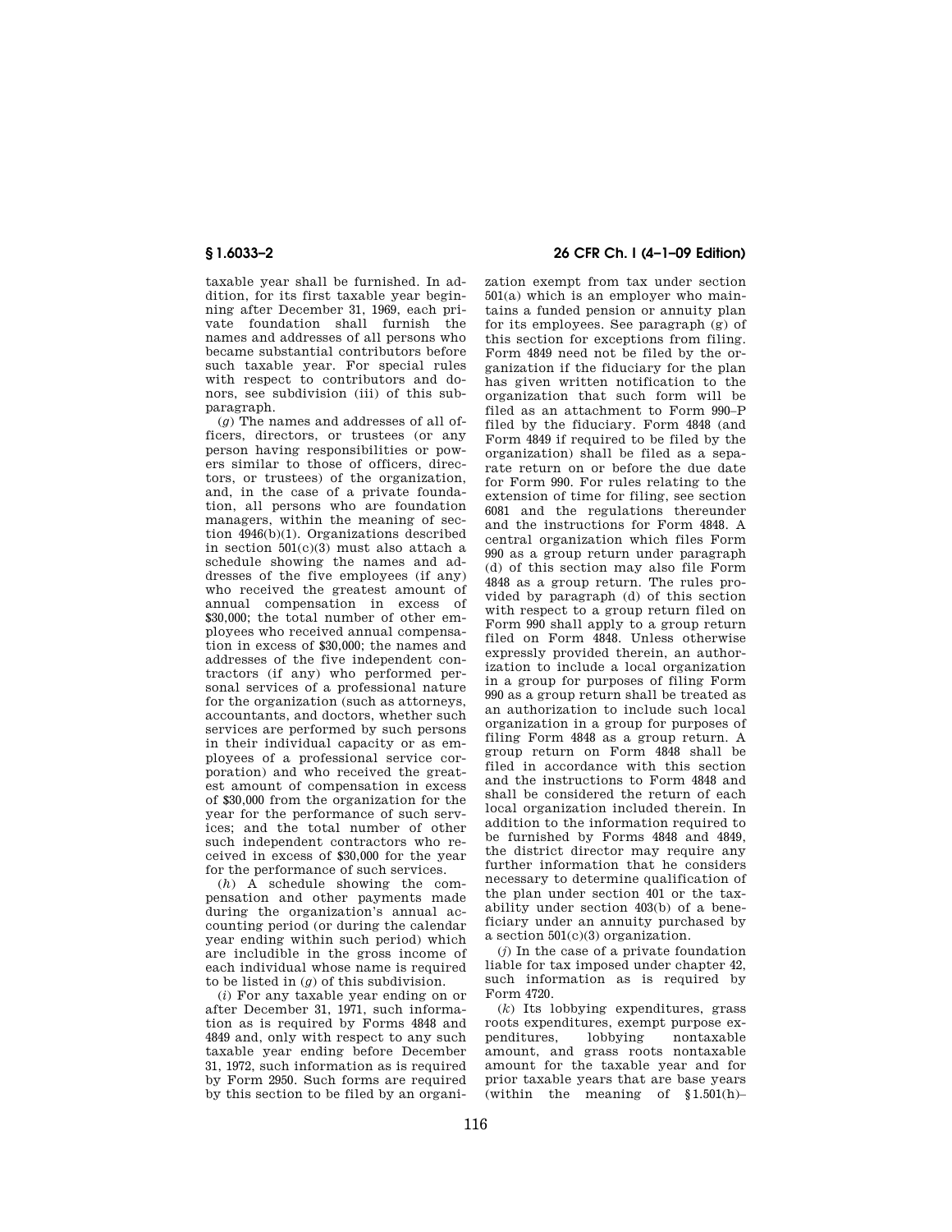taxable year shall be furnished. In addition, for its first taxable year beginning after December 31, 1969, each private foundation shall furnish the names and addresses of all persons who became substantial contributors before such taxable year. For special rules with respect to contributors and donors, see subdivision (iii) of this subparagraph.

(*g*) The names and addresses of all officers, directors, or trustees (or any person having responsibilities or powers similar to those of officers, directors, or trustees) of the organization, and, in the case of a private foundation, all persons who are foundation managers, within the meaning of section 4946(b)(1). Organizations described in section 501(c)(3) must also attach a schedule showing the names and addresses of the five employees (if any) who received the greatest amount of annual compensation in excess of  $$30,000$ ; the total number of other employees who received annual compensation in excess of \$30,000; the names and addresses of the five independent contractors (if any) who performed personal services of a professional nature for the organization (such as attorneys, accountants, and doctors, whether such services are performed by such persons in their individual capacity or as employees of a professional service corporation) and who received the greatest amount of compensation in excess of \$30,000 from the organization for the year for the performance of such services; and the total number of other such independent contractors who received in excess of \$30,000 for the year for the performance of such services.

(*h*) A schedule showing the compensation and other payments made during the organization's annual accounting period (or during the calendar year ending within such period) which are includible in the gross income of each individual whose name is required to be listed in (*g*) of this subdivision.

(*i*) For any taxable year ending on or after December 31, 1971, such information as is required by Forms 4848 and 4849 and, only with respect to any such taxable year ending before December 31, 1972, such information as is required by Form 2950. Such forms are required by this section to be filed by an organi-

# **§ 1.6033–2 26 CFR Ch. I (4–1–09 Edition)**

zation exempt from tax under section 501(a) which is an employer who maintains a funded pension or annuity plan for its employees. See paragraph (g) of this section for exceptions from filing. Form 4849 need not be filed by the organization if the fiduciary for the plan has given written notification to the organization that such form will be filed as an attachment to Form 990–P filed by the fiduciary. Form 4848 (and Form 4849 if required to be filed by the organization) shall be filed as a separate return on or before the due date for Form 990. For rules relating to the extension of time for filing, see section 6081 and the regulations thereunder and the instructions for Form 4848. A central organization which files Form 990 as a group return under paragraph (d) of this section may also file Form 4848 as a group return. The rules provided by paragraph (d) of this section with respect to a group return filed on Form 990 shall apply to a group return filed on Form 4848. Unless otherwise expressly provided therein, an authorization to include a local organization in a group for purposes of filing Form 990 as a group return shall be treated as an authorization to include such local organization in a group for purposes of filing Form 4848 as a group return. A group return on Form 4848 shall be filed in accordance with this section and the instructions to Form 4848 and shall be considered the return of each local organization included therein. In addition to the information required to be furnished by Forms 4848 and 4849, the district director may require any further information that he considers necessary to determine qualification of the plan under section 401 or the taxability under section 403(b) of a beneficiary under an annuity purchased by a section 501(c)(3) organization.

(*j*) In the case of a private foundation liable for tax imposed under chapter 42, such information as is required by Form 4720.

(*k*) Its lobbying expenditures, grass roots expenditures, exempt purpose expenditures, lobbying nontaxable amount, and grass roots nontaxable amount for the taxable year and for prior taxable years that are base years (within the meaning of  $$1.501(h)$ –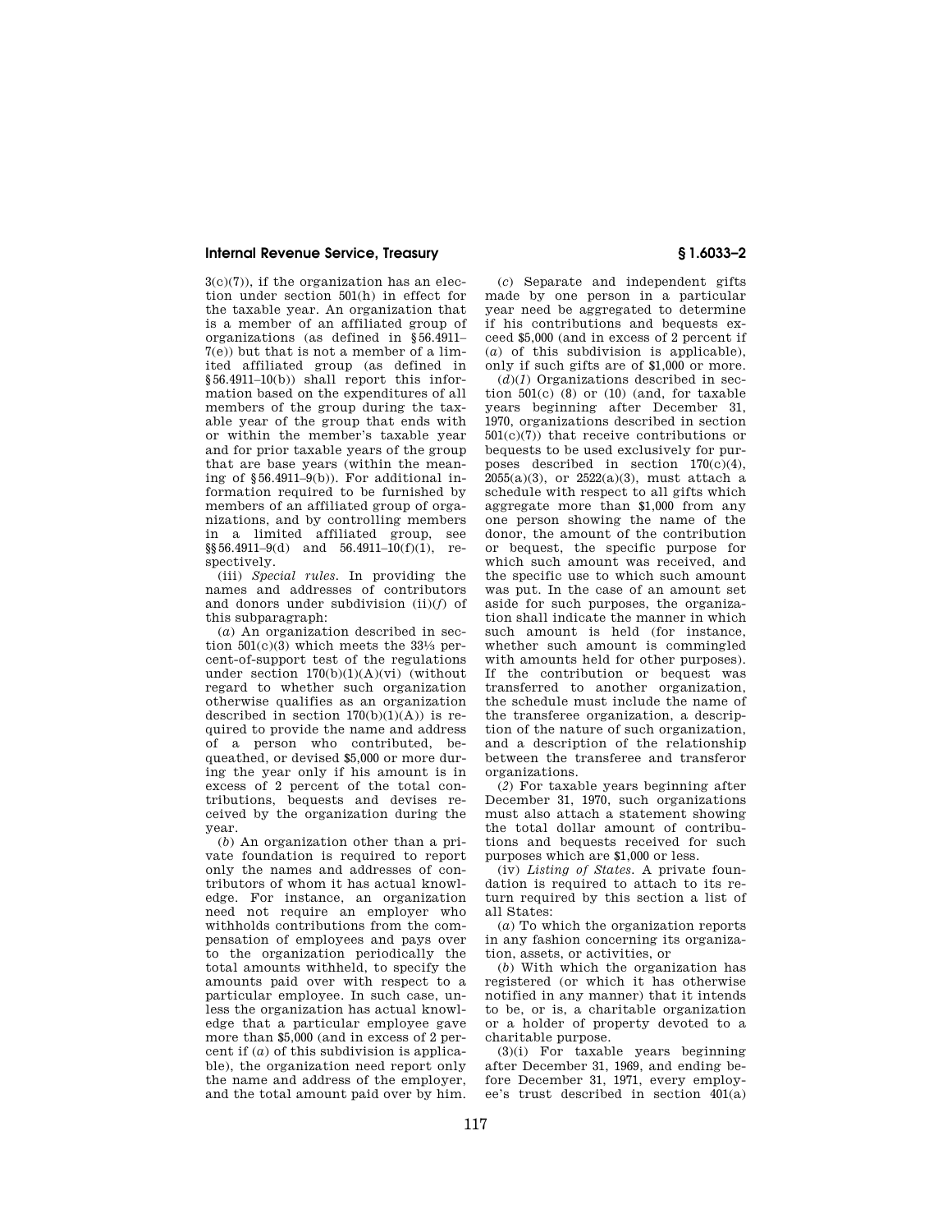$3(c)(7)$ , if the organization has an election under section 501(h) in effect for the taxable year. An organization that is a member of an affiliated group of organizations (as defined in §56.4911– 7(e)) but that is not a member of a limited affiliated group (as defined in §56.4911–10(b)) shall report this information based on the expenditures of all members of the group during the taxable year of the group that ends with or within the member's taxable year and for prior taxable years of the group that are base years (within the meaning of  $§56.4911–9(b)$ ). For additional information required to be furnished by members of an affiliated group of organizations, and by controlling members in a limited affiliated group, see  $\S$ §56.4911–9(d) and 56.4911–10(f)(1), respectively.

(iii) *Special rules.* In providing the names and addresses of contributors and donors under subdivision (ii)(*f*) of this subparagraph:

(*a*) An organization described in section  $501(c)(3)$  which meets the  $33\frac{1}{3}$  percent-of-support test of the regulations under section  $170(b)(1)(A)(vi)$  (without regard to whether such organization otherwise qualifies as an organization described in section  $170(b)(1)(A)$  is required to provide the name and address of a person who contributed, bequeathed, or devised \$5,000 or more during the year only if his amount is in excess of 2 percent of the total contributions, bequests and devises received by the organization during the year.

(*b*) An organization other than a private foundation is required to report only the names and addresses of contributors of whom it has actual knowledge. For instance, an organization need not require an employer who withholds contributions from the compensation of employees and pays over to the organization periodically the total amounts withheld, to specify the amounts paid over with respect to a particular employee. In such case, unless the organization has actual knowledge that a particular employee gave more than \$5,000 (and in excess of 2 percent if (*a*) of this subdivision is applicable), the organization need report only the name and address of the employer, and the total amount paid over by him.

(*c*) Separate and independent gifts made by one person in a particular year need be aggregated to determine if his contributions and bequests exceed \$5,000 (and in excess of 2 percent if (*a*) of this subdivision is applicable), only if such gifts are of \$1,000 or more.

 $(d)(1)$  Organizations described in section  $501(c)$  (8) or (10) (and, for taxable years beginning after December 31, 1970, organizations described in section  $501(c)(7)$  that receive contributions or bequests to be used exclusively for purposes described in section  $170(c)(4)$ ,  $2055(a)(3)$ , or  $2522(a)(3)$ , must attach a schedule with respect to all gifts which aggregate more than \$1,000 from any one person showing the name of the donor, the amount of the contribution or bequest, the specific purpose for which such amount was received, and the specific use to which such amount was put. In the case of an amount set aside for such purposes, the organization shall indicate the manner in which such amount is held (for instance, whether such amount is commingled with amounts held for other purposes). If the contribution or bequest was transferred to another organization, the schedule must include the name of the transferee organization, a description of the nature of such organization, and a description of the relationship between the transferee and transferor organizations.

(*2*) For taxable years beginning after December 31, 1970, such organizations must also attach a statement showing the total dollar amount of contributions and bequests received for such purposes which are \$1,000 or less.

(iv) *Listing of States.* A private foundation is required to attach to its return required by this section a list of all States:

(*a*) To which the organization reports in any fashion concerning its organization, assets, or activities, or

(*b*) With which the organization has registered (or which it has otherwise notified in any manner) that it intends to be, or is, a charitable organization or a holder of property devoted to a charitable purpose.

 $(3)(i)$  For taxable years beginning after December 31, 1969, and ending before December 31, 1971, every employee's trust described in section 401(a)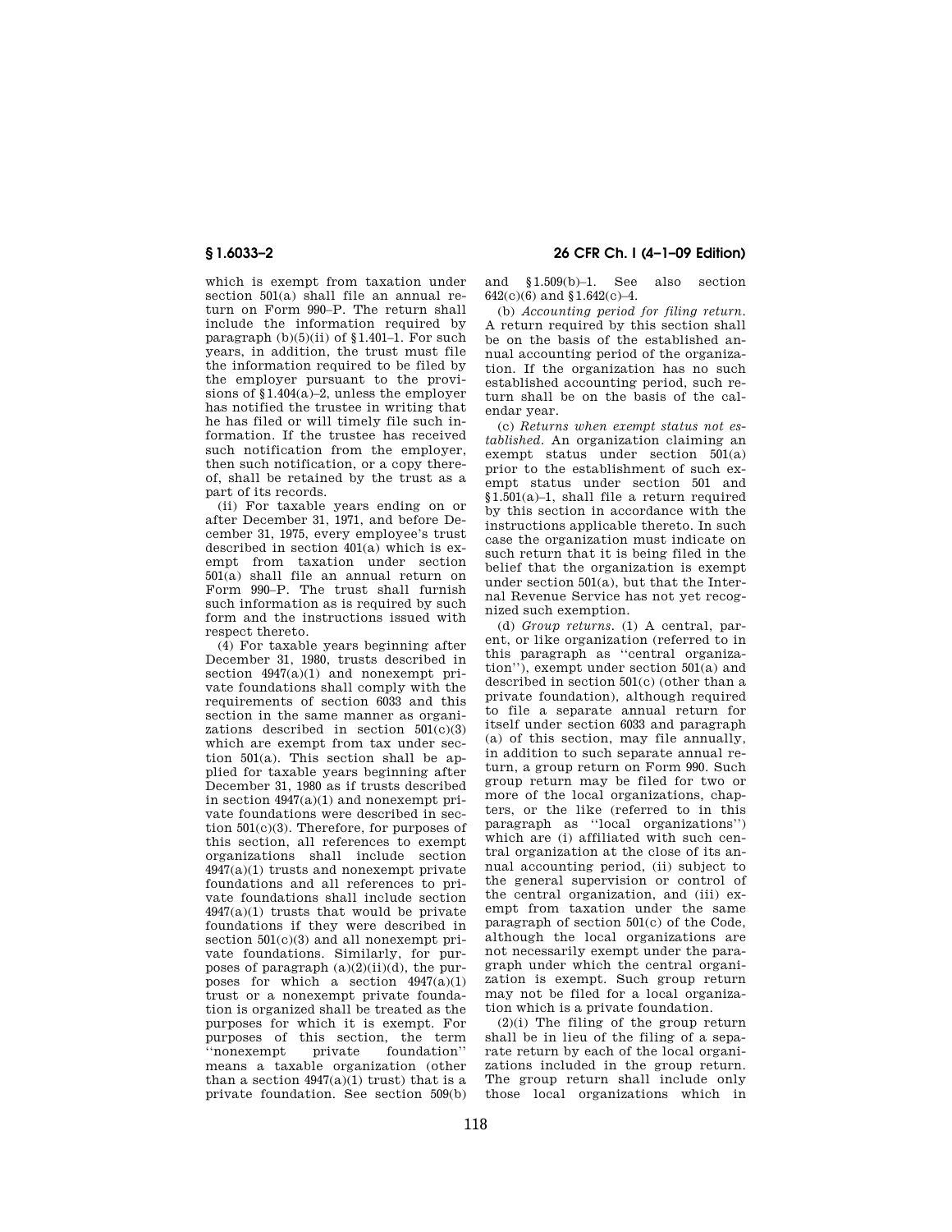which is exempt from taxation under section 501(a) shall file an annual return on Form 990–P. The return shall include the information required by paragraph  $(b)(5)(ii)$  of  $$1.401-1$ . For such years, in addition, the trust must file the information required to be filed by the employer pursuant to the provisions of §1.404(a)–2, unless the employer has notified the trustee in writing that he has filed or will timely file such information. If the trustee has received such notification from the employer, then such notification, or a copy thereof, shall be retained by the trust as a part of its records.

(ii) For taxable years ending on or after December 31, 1971, and before December 31, 1975, every employee's trust described in section 401(a) which is exempt from taxation under section 501(a) shall file an annual return on Form 990–P. The trust shall furnish such information as is required by such form and the instructions issued with respect thereto.

(4) For taxable years beginning after December 31, 1980, trusts described in section  $4947(a)(1)$  and nonexempt private foundations shall comply with the requirements of section 6033 and this section in the same manner as organizations described in section 501(c)(3) which are exempt from tax under section 501(a). This section shall be applied for taxable years beginning after December 31, 1980 as if trusts described in section 4947(a)(1) and nonexempt private foundations were described in section 501(c)(3). Therefore, for purposes of this section, all references to exempt organizations shall include section 4947(a)(1) trusts and nonexempt private foundations and all references to private foundations shall include section  $4947(a)(1)$  trusts that would be private foundations if they were described in section  $501(c)(3)$  and all nonexempt private foundations. Similarly, for purposes of paragraph  $(a)(2)(ii)(d)$ , the purposes for which a section  $4947(a)(1)$ trust or a nonexempt private foundation is organized shall be treated as the purposes for which it is exempt. For purposes of this section, the term<br>"nonexempt private foundation" foundation'' means a taxable organization (other than a section  $4947(a)(1)$  trust) that is a private foundation. See section 509(b)

**§ 1.6033–2 26 CFR Ch. I (4–1–09 Edition)** 

and §1.509(b)–1. See also section  $642(c)(6)$  and  $$1.642(c)-4$ .

(b) *Accounting period for filing return.*  A return required by this section shall be on the basis of the established annual accounting period of the organization. If the organization has no such established accounting period, such return shall be on the basis of the calendar year.

(c) *Returns when exempt status not established.* An organization claiming an exempt status under section 501(a) prior to the establishment of such exempt status under section 501 and §1.501(a)–1, shall file a return required by this section in accordance with the instructions applicable thereto. In such case the organization must indicate on such return that it is being filed in the belief that the organization is exempt under section 501(a), but that the Internal Revenue Service has not yet recognized such exemption.

(d) *Group returns.* (1) A central, parent, or like organization (referred to in this paragraph as ''central organization''), exempt under section 501(a) and described in section 501(c) (other than a private foundation), although required to file a separate annual return for itself under section 6033 and paragraph (a) of this section, may file annually, in addition to such separate annual return, a group return on Form 990. Such group return may be filed for two or more of the local organizations, chapters, or the like (referred to in this paragraph as ''local organizations'') which are (i) affiliated with such central organization at the close of its annual accounting period, (ii) subject to the general supervision or control of the central organization, and (iii) exempt from taxation under the same paragraph of section 501(c) of the Code, although the local organizations are not necessarily exempt under the paragraph under which the central organization is exempt. Such group return may not be filed for a local organization which is a private foundation.

 $(2)(i)$  The filing of the group return shall be in lieu of the filing of a separate return by each of the local organizations included in the group return. The group return shall include only those local organizations which in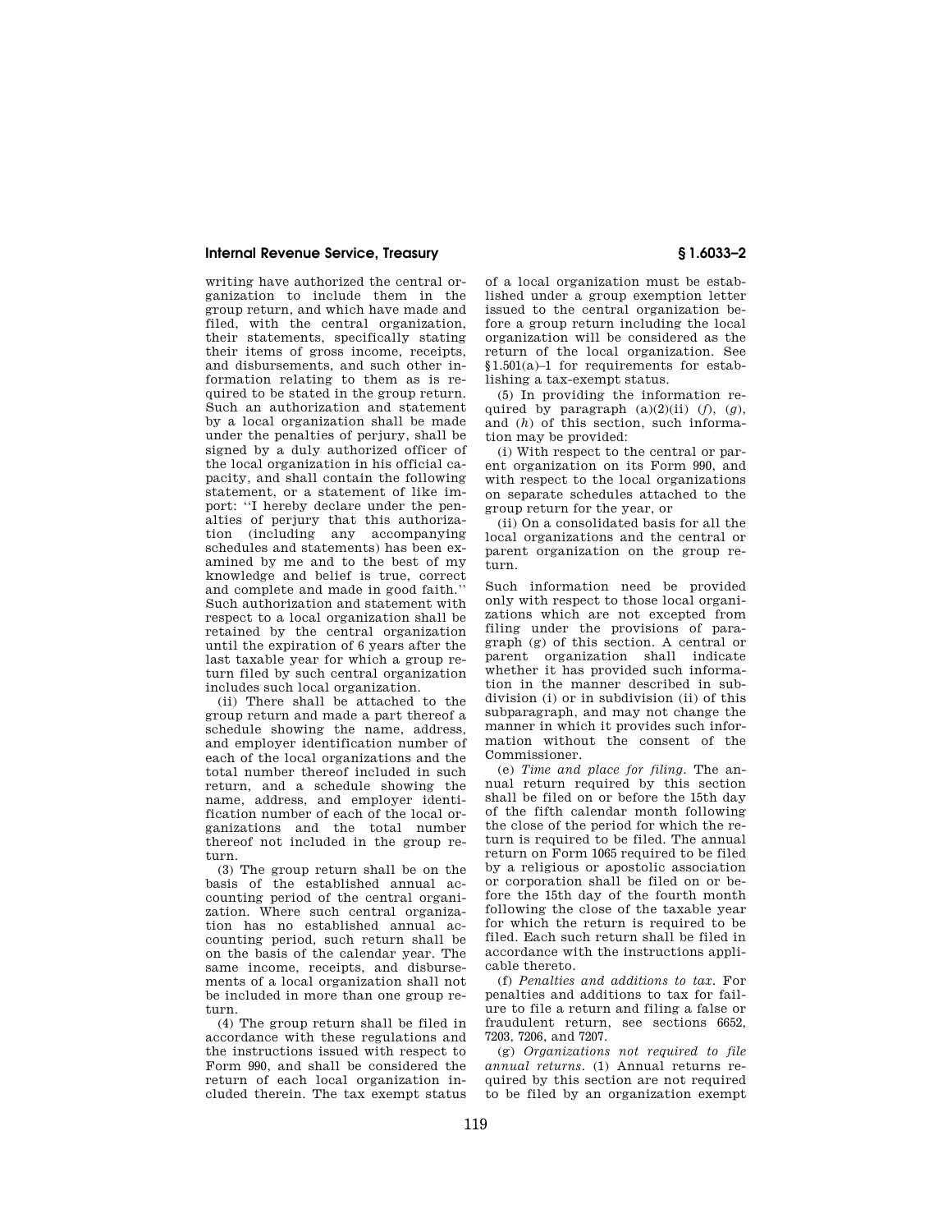writing have authorized the central organization to include them in the group return, and which have made and filed, with the central organization, their statements, specifically stating their items of gross income, receipts, and disbursements, and such other information relating to them as is required to be stated in the group return. Such an authorization and statement by a local organization shall be made under the penalties of perjury, shall be signed by a duly authorized officer of the local organization in his official capacity, and shall contain the following statement, or a statement of like import: ''I hereby declare under the penalties of perjury that this authorization (including any accompanying schedules and statements) has been examined by me and to the best of my knowledge and belief is true, correct and complete and made in good faith.'' Such authorization and statement with respect to a local organization shall be retained by the central organization until the expiration of 6 years after the last taxable year for which a group return filed by such central organization includes such local organization.

(ii) There shall be attached to the group return and made a part thereof a schedule showing the name, address, and employer identification number of each of the local organizations and the total number thereof included in such return, and a schedule showing the name, address, and employer identification number of each of the local organizations and the total number thereof not included in the group return.

(3) The group return shall be on the basis of the established annual accounting period of the central organization. Where such central organization has no established annual accounting period, such return shall be on the basis of the calendar year. The same income, receipts, and disbursements of a local organization shall not be included in more than one group return.

(4) The group return shall be filed in accordance with these regulations and the instructions issued with respect to Form 990, and shall be considered the return of each local organization included therein. The tax exempt status

of a local organization must be established under a group exemption letter issued to the central organization before a group return including the local organization will be considered as the return of the local organization. See §1.501(a)–1 for requirements for establishing a tax-exempt status.

(5) In providing the information required by paragraph  $(a)(2)(ii)$   $(f)$ ,  $(g)$ , and (*h*) of this section, such information may be provided:

(i) With respect to the central or parent organization on its Form 990, and with respect to the local organizations on separate schedules attached to the group return for the year, or

(ii) On a consolidated basis for all the local organizations and the central or parent organization on the group return.

Such information need be provided only with respect to those local organizations which are not excepted from filing under the provisions of paragraph (g) of this section. A central or parent organization shall indicate whether it has provided such information in the manner described in subdivision (i) or in subdivision (ii) of this subparagraph, and may not change the manner in which it provides such information without the consent of the Commissioner.

(e) *Time and place for filing.* The annual return required by this section shall be filed on or before the 15th day of the fifth calendar month following the close of the period for which the return is required to be filed. The annual return on Form 1065 required to be filed by a religious or apostolic association or corporation shall be filed on or before the 15th day of the fourth month following the close of the taxable year for which the return is required to be filed. Each such return shall be filed in accordance with the instructions applicable thereto.

(f) *Penalties and additions to tax.* For penalties and additions to tax for failure to file a return and filing a false or fraudulent return, see sections 6652, 7203, 7206, and 7207.

(g) *Organizations not required to file annual returns.* (1) Annual returns required by this section are not required to be filed by an organization exempt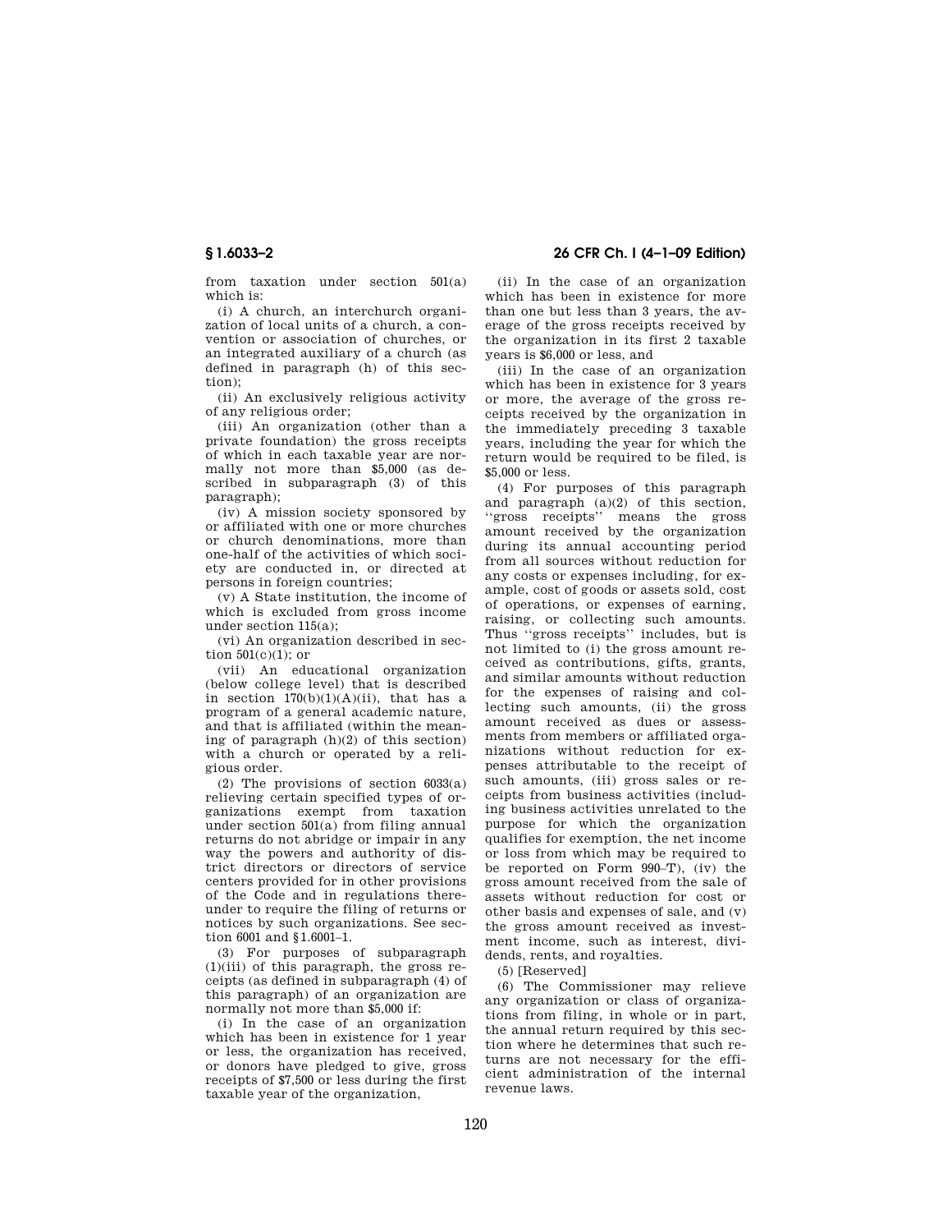**§ 1.6033–2 26 CFR Ch. I (4–1–09 Edition)** 

from taxation under section 501(a) which is:

(i) A church, an interchurch organization of local units of a church, a convention or association of churches, or an integrated auxiliary of a church (as defined in paragraph (h) of this section);

(ii) An exclusively religious activity of any religious order;

(iii) An organization (other than a private foundation) the gross receipts of which in each taxable year are normally not more than \$5,000 (as described in subparagraph (3) of this paragraph);

(iv) A mission society sponsored by or affiliated with one or more churches or church denominations, more than one-half of the activities of which society are conducted in, or directed at persons in foreign countries;

(v) A State institution, the income of which is excluded from gross income under section 115(a);

(vi) An organization described in section 501(c)(1); or

(vii) An educational organization (below college level) that is described in section  $170(b)(1)(A)(ii)$ , that has a program of a general academic nature, and that is affiliated (within the meaning of paragraph (h)(2) of this section) with a church or operated by a religious order.

(2) The provisions of section 6033(a) relieving certain specified types of organizations exempt from taxation under section 501(a) from filing annual returns do not abridge or impair in any way the powers and authority of district directors or directors of service centers provided for in other provisions of the Code and in regulations thereunder to require the filing of returns or notices by such organizations. See section 6001 and §1.6001–1.

(3) For purposes of subparagraph (1)(iii) of this paragraph, the gross receipts (as defined in subparagraph (4) of this paragraph) of an organization are normally not more than \$5,000 if:

(i) In the case of an organization which has been in existence for 1 year or less, the organization has received, or donors have pledged to give, gross receipts of \$7,500 or less during the first taxable year of the organization,

(ii) In the case of an organization which has been in existence for more than one but less than 3 years, the average of the gross receipts received by the organization in its first 2 taxable years is \$6,000 or less, and

(iii) In the case of an organization which has been in existence for 3 years or more, the average of the gross receipts received by the organization in the immediately preceding 3 taxable years, including the year for which the return would be required to be filed, is \$5,000 or less.

(4) For purposes of this paragraph and paragraph (a)(2) of this section, ''gross receipts'' means the gross amount received by the organization during its annual accounting period from all sources without reduction for any costs or expenses including, for example, cost of goods or assets sold, cost of operations, or expenses of earning, raising, or collecting such amounts. Thus ''gross receipts'' includes, but is not limited to (i) the gross amount received as contributions, gifts, grants, and similar amounts without reduction for the expenses of raising and collecting such amounts, (ii) the gross amount received as dues or assessments from members or affiliated organizations without reduction for expenses attributable to the receipt of such amounts, (iii) gross sales or receipts from business activities (including business activities unrelated to the purpose for which the organization qualifies for exemption, the net income or loss from which may be required to be reported on Form 990–T), (iv) the gross amount received from the sale of assets without reduction for cost or other basis and expenses of sale, and (v) the gross amount received as investment income, such as interest, dividends, rents, and royalties.

(5) [Reserved]

(6) The Commissioner may relieve any organization or class of organizations from filing, in whole or in part, the annual return required by this section where he determines that such returns are not necessary for the efficient administration of the internal revenue laws.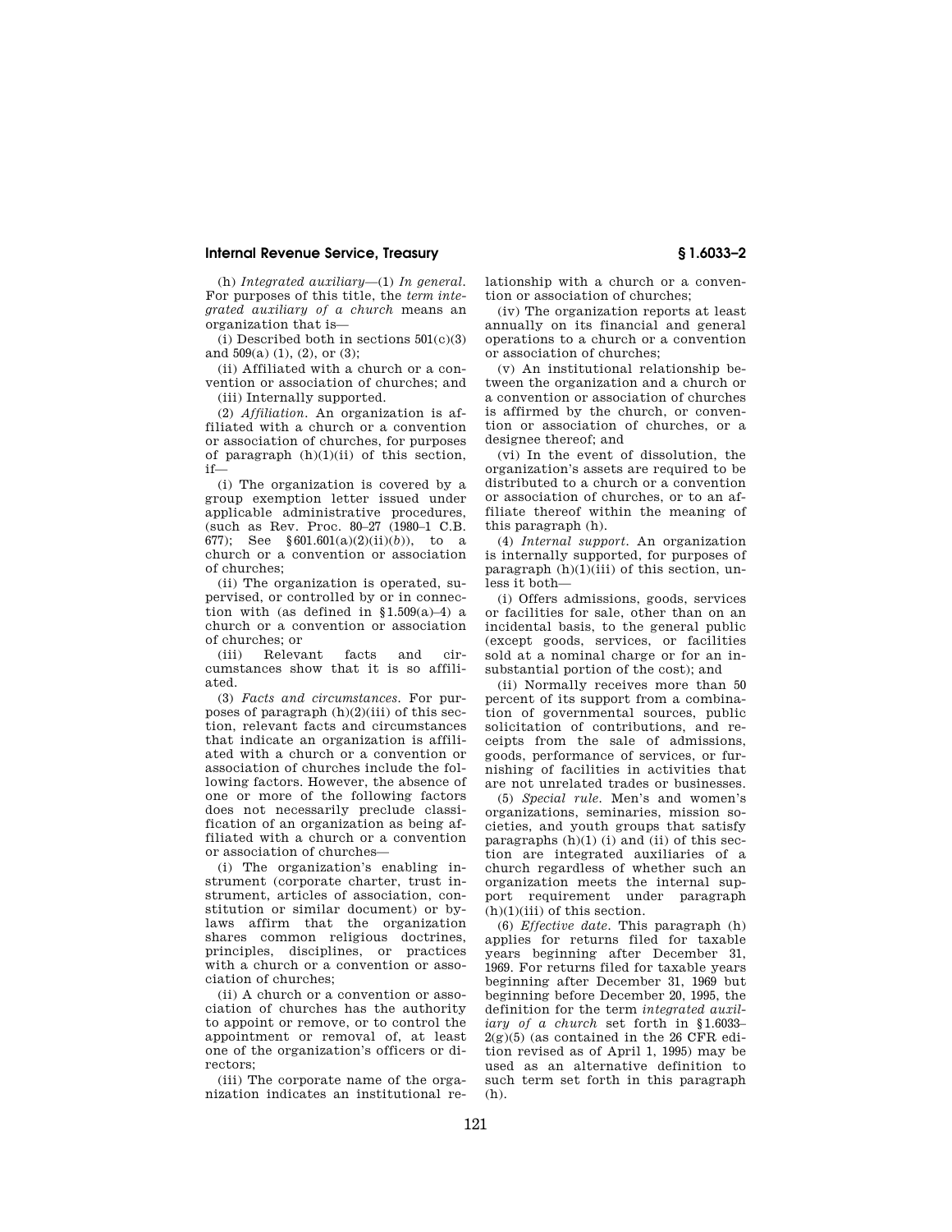(h) *Integrated auxiliary*—(1) *In general.*  For purposes of this title, the *term integrated auxiliary of a church* means an organization that is—

(i) Described both in sections  $501(c)(3)$ and 509(a) (1), (2), or (3);

(ii) Affiliated with a church or a convention or association of churches; and (iii) Internally supported.

(2) *Affiliation.* An organization is affiliated with a church or a convention or association of churches, for purposes of paragraph (h)(1)(ii) of this section, if—

(i) The organization is covered by a group exemption letter issued under applicable administrative procedures, (such as Rev. Proc. 80–27 (1980–1 C.B. 677); See §601.601(a)(2)(ii)(*b*)), to a church or a convention or association of churches;

(ii) The organization is operated, supervised, or controlled by or in connection with (as defined in  $§1.509(a)-4)$  a church or a convention or association of churches; or

(iii) Relevant facts and circumstances show that it is so affiliated.

(3) *Facts and circumstances.* For purposes of paragraph  $(h)(2)(iii)$  of this section, relevant facts and circumstances that indicate an organization is affiliated with a church or a convention or association of churches include the following factors. However, the absence of one or more of the following factors does not necessarily preclude classification of an organization as being affiliated with a church or a convention or association of churches—

(i) The organization's enabling instrument (corporate charter, trust instrument, articles of association, constitution or similar document) or bylaws affirm that the organization shares common religious doctrines, principles, disciplines, or practices with a church or a convention or association of churches;

(ii) A church or a convention or association of churches has the authority to appoint or remove, or to control the appointment or removal of, at least one of the organization's officers or directors;

(iii) The corporate name of the organization indicates an institutional relationship with a church or a convention or association of churches;

(iv) The organization reports at least annually on its financial and general operations to a church or a convention or association of churches;

(v) An institutional relationship between the organization and a church or a convention or association of churches is affirmed by the church, or convention or association of churches, or a designee thereof; and

(vi) In the event of dissolution, the organization's assets are required to be distributed to a church or a convention or association of churches, or to an affiliate thereof within the meaning of this paragraph (h).

(4) *Internal support.* An organization is internally supported, for purposes of paragraph  $(h)(1)(iii)$  of this section, unless it both—

(i) Offers admissions, goods, services or facilities for sale, other than on an incidental basis, to the general public (except goods, services, or facilities sold at a nominal charge or for an insubstantial portion of the cost); and

(ii) Normally receives more than 50 percent of its support from a combination of governmental sources, public solicitation of contributions, and receipts from the sale of admissions, goods, performance of services, or furnishing of facilities in activities that are not unrelated trades or businesses.

(5) *Special rule.* Men's and women's organizations, seminaries, mission societies, and youth groups that satisfy paragraphs  $(h)(1)$  (i) and (ii) of this section are integrated auxiliaries of a church regardless of whether such an organization meets the internal support requirement under paragraph  $(h)(1)(iii)$  of this section.

(6) *Effective date.* This paragraph (h) applies for returns filed for taxable years beginning after December 31, 1969. For returns filed for taxable years beginning after December 31, 1969 but beginning before December 20, 1995, the definition for the term *integrated auxiliary of a church* set forth in §1.6033–  $2(g)(5)$  (as contained in the 26 CFR edition revised as of April 1, 1995) may be used as an alternative definition to such term set forth in this paragraph  $(h)$ .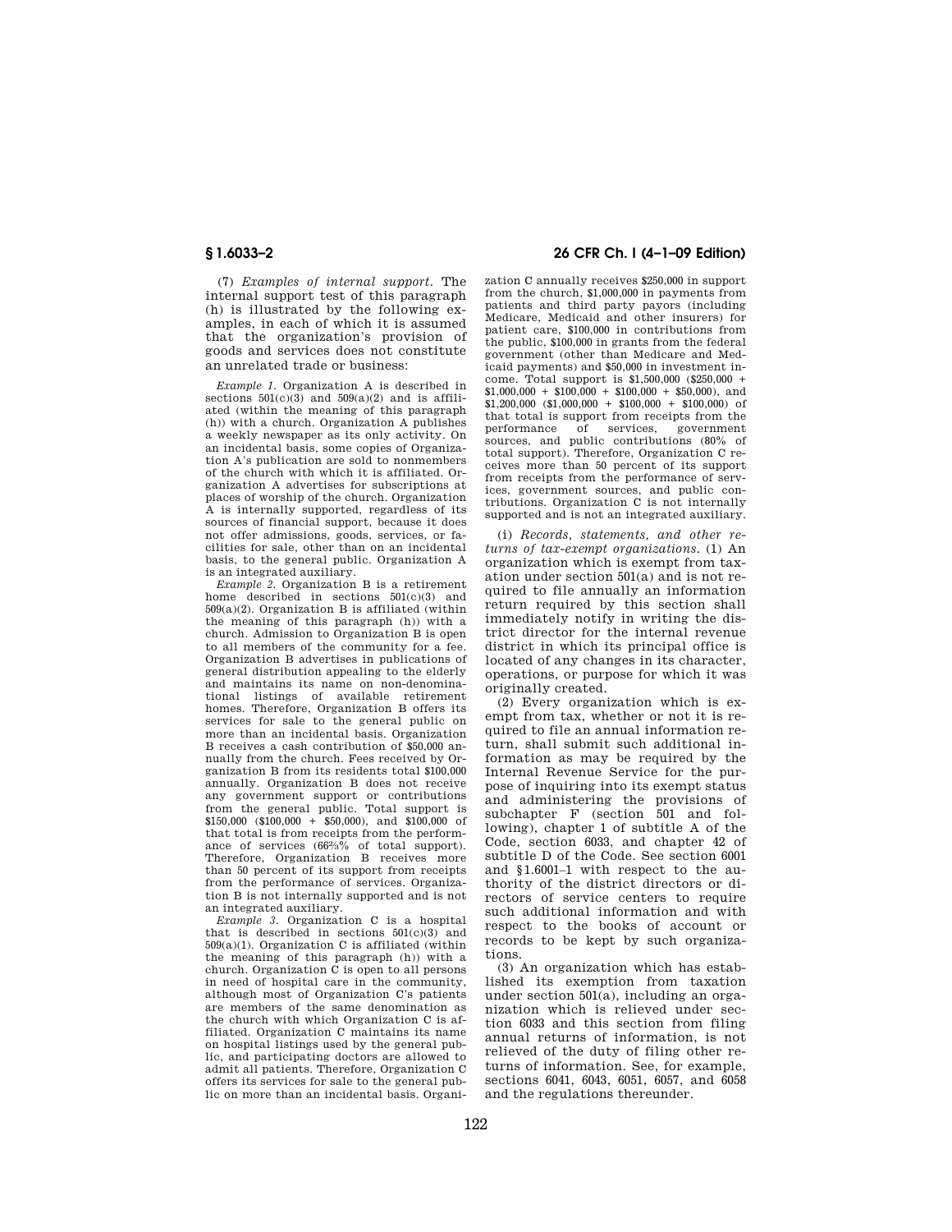(7) *Examples of internal support.* The internal support test of this paragraph (h) is illustrated by the following examples, in each of which it is assumed that the organization's provision of goods and services does not constitute an unrelated trade or business:

*Example 1.* Organization A is described in sections  $501(c)(3)$  and  $509(a)(2)$  and is affiliated (within the meaning of this paragraph (h)) with a church. Organization A publishes a weekly newspaper as its only activity. On an incidental basis, some copies of Organization A's publication are sold to nonmembers of the church with which it is affiliated. Organization A advertises for subscriptions at places of worship of the church. Organization A is internally supported, regardless of its sources of financial support, because it does not offer admissions, goods, services, or facilities for sale, other than on an incidental basis, to the general public. Organization A is an integrated auxiliary.

*Example 2.* Organization B is a retirement home described in sections 501(c)(3) and 509(a)(2). Organization B is affiliated (within the meaning of this paragraph (h)) with a church. Admission to Organization B is open to all members of the community for a fee. Organization B advertises in publications of general distribution appealing to the elderly and maintains its name on non-denominational listings of available retirement homes. Therefore, Organization B offers its services for sale to the general public on more than an incidental basis. Organization B receives a cash contribution of \$50,000 annually from the church. Fees received by Organization B from its residents total \$100,000 annually. Organization B does not receive any government support or contributions from the general public. Total support is  $$150,000$   $$100,000 + $50,000$ , and  $$100,000$  of that total is from receipts from the performance of services (66%% of total support). Therefore, Organization B receives more than 50 percent of its support from receipts from the performance of services. Organization B is not internally supported and is not an integrated auxiliary.

*Example 3.* Organization C is a hospital that is described in sections  $501(c)(3)$  and 509(a)(1). Organization C is affiliated (within the meaning of this paragraph (h)) with a church. Organization C is open to all persons in need of hospital care in the community, although most of Organization C's patients are members of the same denomination as the church with which Organization C is affiliated. Organization C maintains its name on hospital listings used by the general public, and participating doctors are allowed to admit all patients. Therefore, Organization C offers its services for sale to the general public on more than an incidental basis. Organi-

## **§ 1.6033–2 26 CFR Ch. I (4–1–09 Edition)**

zation C annually receives \$250,000 in support from the church, \$1,000,000 in payments from patients and third party payors (including Medicare, Medicaid and other insurers) for patient care, \$100,000 in contributions from the public, \$100,000 in grants from the federal government (other than Medicare and Medicaid payments) and \$50,000 in investment income. Total support is \$1,500,000 (\$250,000 +  $$1,000,000 + $100,000 + $100,000 + $50,000$ , and  $$1,200,000$  (\$1,000,000 + \$100,000 + \$100,000) of that total is support from receipts from the of services, government sources, and public contributions (80% of total support). Therefore, Organization C receives more than 50 percent of its support from receipts from the performance of services, government sources, and public contributions. Organization C is not internally supported and is not an integrated auxiliary.

(i) *Records, statements, and other returns of tax-exempt organizations.* (1) An organization which is exempt from taxation under section 501(a) and is not required to file annually an information return required by this section shall immediately notify in writing the district director for the internal revenue district in which its principal office is located of any changes in its character, operations, or purpose for which it was originally created.

(2) Every organization which is exempt from tax, whether or not it is required to file an annual information return, shall submit such additional information as may be required by the Internal Revenue Service for the purpose of inquiring into its exempt status and administering the provisions of subchapter F (section 501 and following), chapter 1 of subtitle A of the Code, section 6033, and chapter 42 of subtitle D of the Code. See section 6001 and §1.6001–1 with respect to the authority of the district directors or directors of service centers to require such additional information and with respect to the books of account or records to be kept by such organizations.

(3) An organization which has established its exemption from taxation under section 501(a), including an organization which is relieved under section 6033 and this section from filing annual returns of information, is not relieved of the duty of filing other returns of information. See, for example, sections 6041, 6043, 6051, 6057, and 6058 and the regulations thereunder.